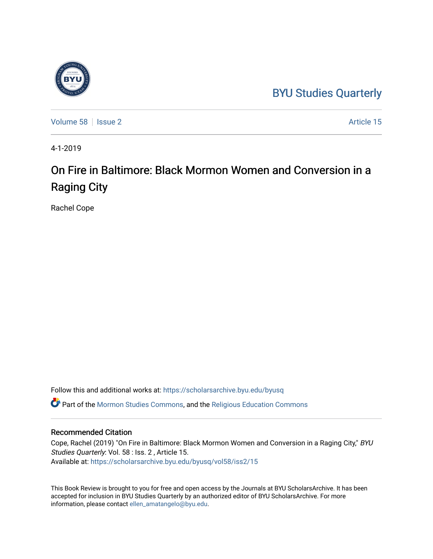## [BYU Studies Quarterly](https://scholarsarchive.byu.edu/byusq)



[Volume 58](https://scholarsarchive.byu.edu/byusq/vol58) | [Issue 2](https://scholarsarchive.byu.edu/byusq/vol58/iss2) Article 15

4-1-2019

# On Fire in Baltimore: Black Mormon Women and Conversion in a Raging City

Rachel Cope

Follow this and additional works at: [https://scholarsarchive.byu.edu/byusq](https://scholarsarchive.byu.edu/byusq?utm_source=scholarsarchive.byu.edu%2Fbyusq%2Fvol58%2Fiss2%2F15&utm_medium=PDF&utm_campaign=PDFCoverPages) 

Part of the [Mormon Studies Commons](http://network.bepress.com/hgg/discipline/1360?utm_source=scholarsarchive.byu.edu%2Fbyusq%2Fvol58%2Fiss2%2F15&utm_medium=PDF&utm_campaign=PDFCoverPages), and the [Religious Education Commons](http://network.bepress.com/hgg/discipline/1414?utm_source=scholarsarchive.byu.edu%2Fbyusq%2Fvol58%2Fiss2%2F15&utm_medium=PDF&utm_campaign=PDFCoverPages) 

#### Recommended Citation

Cope, Rachel (2019) "On Fire in Baltimore: Black Mormon Women and Conversion in a Raging City," BYU Studies Quarterly: Vol. 58 : Iss. 2 , Article 15. Available at: [https://scholarsarchive.byu.edu/byusq/vol58/iss2/15](https://scholarsarchive.byu.edu/byusq/vol58/iss2/15?utm_source=scholarsarchive.byu.edu%2Fbyusq%2Fvol58%2Fiss2%2F15&utm_medium=PDF&utm_campaign=PDFCoverPages) 

This Book Review is brought to you for free and open access by the Journals at BYU ScholarsArchive. It has been accepted for inclusion in BYU Studies Quarterly by an authorized editor of BYU ScholarsArchive. For more information, please contact [ellen\\_amatangelo@byu.edu.](mailto:ellen_amatangelo@byu.edu)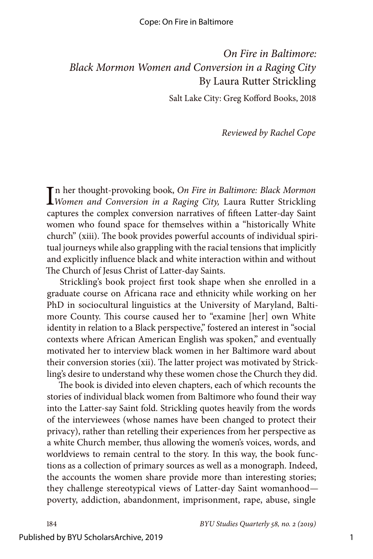#### Cope: On Fire in Baltimore

### *On Fire in Baltimore: Black Mormon Women and Conversion in a Raging City* By Laura Rutter Strickling

Salt Lake City: Greg Kofford Books, 2018

*Reviewed by Rachel Cope*

In her thought-provoking book, On Fire in Baltimore: Black Mormon<br>Women and Conversion in a Raging City, Laura Rutter Strickling n her thought-provoking book, *On Fire in Baltimore: Black Mormon*  captures the complex conversion narratives of fifteen Latter-day Saint women who found space for themselves within a "historically White church" (xiii). The book provides powerful accounts of individual spiritual journeys while also grappling with the racial tensions that implicitly and explicitly influence black and white interaction within and without The Church of Jesus Christ of Latter-day Saints.

Strickling's book project first took shape when she enrolled in a graduate course on Africana race and ethnicity while working on her PhD in sociocultural linguistics at the University of Maryland, Baltimore County. This course caused her to "examine [her] own White identity in relation to a Black perspective," fostered an interest in "social contexts where African American English was spoken," and eventually motivated her to interview black women in her Baltimore ward about their conversion stories (xii). The latter project was motivated by Strickling's desire to understand why these women chose the Church they did.

The book is divided into eleven chapters, each of which recounts the stories of individual black women from Baltimore who found their way into the Latter-say Saint fold. Strickling quotes heavily from the words of the interviewees (whose names have been changed to protect their privacy), rather than retelling their experiences from her perspective as a white Church member, thus allowing the women's voices, words, and worldviews to remain central to the story. In this way, the book functions as a collection of primary sources as well as a monograph. Indeed, the accounts the women share provide more than interesting stories; they challenge stereotypical views of Latter-day Saint womanhood poverty, addiction, abandonment, imprisonment, rape, abuse, single

184 *BYU Studies Quarterly 58, no. 2 (2019)*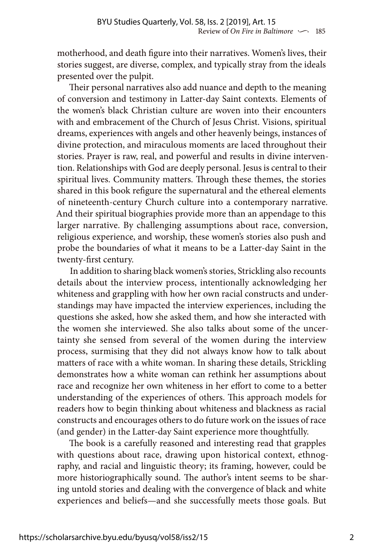motherhood, and death figure into their narratives. Women's lives, their stories suggest, are diverse, complex, and typically stray from the ideals presented over the pulpit.

Their personal narratives also add nuance and depth to the meaning of conversion and testimony in Latter-day Saint contexts. Elements of the women's black Christian culture are woven into their encounters with and embracement of the Church of Jesus Christ. Visions, spiritual dreams, experiences with angels and other heavenly beings, instances of divine protection, and miraculous moments are laced throughout their stories. Prayer is raw, real, and powerful and results in divine intervention. Relationships with God are deeply personal. Jesus is central to their spiritual lives. Community matters. Through these themes, the stories shared in this book refigure the supernatural and the ethereal elements of nineteenth-century Church culture into a contemporary narrative. And their spiritual biographies provide more than an appendage to this larger narrative. By challenging assumptions about race, conversion, religious experience, and worship, these women's stories also push and probe the boundaries of what it means to be a Latter-day Saint in the twenty-first century.

In addition to sharing black women's stories, Strickling also recounts details about the interview process, intentionally acknowledging her whiteness and grappling with how her own racial constructs and understandings may have impacted the interview experiences, including the questions she asked, how she asked them, and how she interacted with the women she interviewed. She also talks about some of the uncertainty she sensed from several of the women during the interview process, surmising that they did not always know how to talk about matters of race with a white woman. In sharing these details, Strickling demonstrates how a white woman can rethink her assumptions about race and recognize her own whiteness in her effort to come to a better understanding of the experiences of others. This approach models for readers how to begin thinking about whiteness and blackness as racial constructs and encourages others to do future work on the issues of race (and gender) in the Latter-day Saint experience more thoughtfully.

The book is a carefully reasoned and interesting read that grapples with questions about race, drawing upon historical context, ethnography, and racial and linguistic theory; its framing, however, could be more historiographically sound. The author's intent seems to be sharing untold stories and dealing with the convergence of black and white experiences and beliefs—and she successfully meets those goals. But